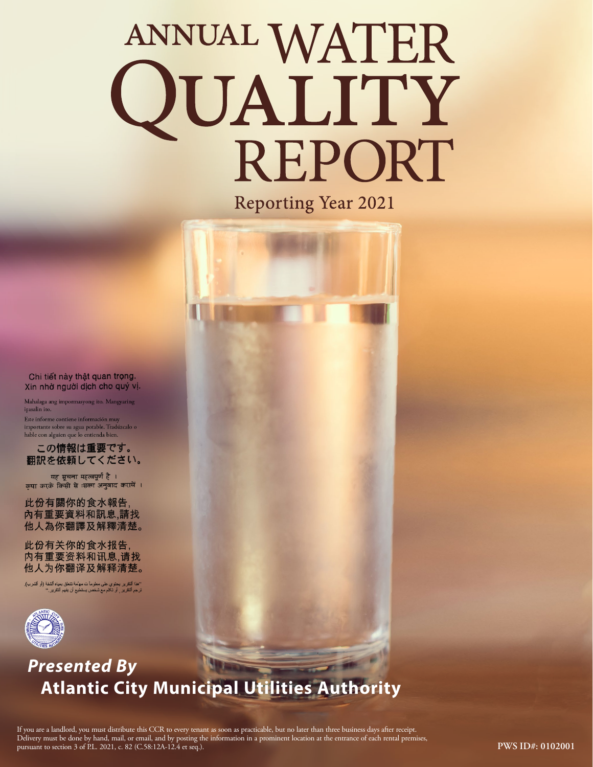# ANNUAL WATER QUALITY REPORT

**Reporting Year 2021** 



## *Presented By* **Atlantic City Municipal Utilities Authority**

Chi tiết này thật quan trọng. Xin nhờ người dịch cho quý vị. Mahalaga ang impormasyong ito. Mangyaring

Este informe contiene información muy importante sobre su agua potable. Tradúzcalo o hable con alguien que lo entienda bien. この情報は重要です。 翻訳を依頼してください。 यह सूचना महत्वपूर्ण है । कृपा करके किसी से :सका अनुवाद करायें । 此份有關你的食水報告, 內有重要資料和訊息,請找 他人為你翻譯及解釋清楚。

此份有关你的食水报告, 内有重要资料和讯息,请找 他人为你翻译及解释清楚。 ''هذا النقرير يحتوي على معلوماً ت مهمّة تتعلق بمياه الثلغة (أو الشرب).<br>ترجم التقرير <sub>,</sub> أو تكلم مع شخص يستطيع أن يفهم التقرير .''

ipasalin ito.

If you are a landlord, you must distribute this CCR to every tenant as soon as practicable, but no later than three business days after receipt. Delivery must be done by hand, mail, or email, and by posting the information in a prominent location at the entrance of each rental premises, pursuant to section 3 of P.L. 2021, c. 82 (C.58:12A-12.4 et seq.).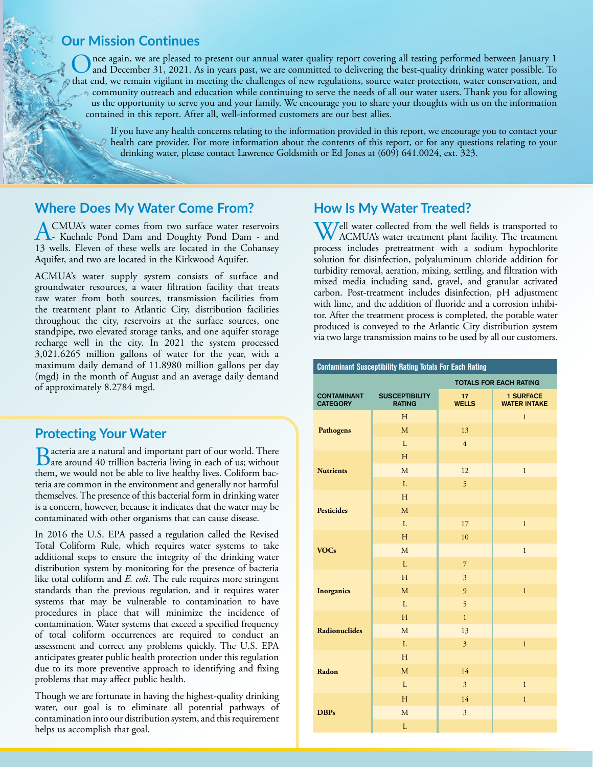#### **Our Mission Continues**

Once again, we are pleased to present our annual water quality report covering all testing performed between January 1<br>and December 31, 2021. As in years past, we are committed to delivering the best-quality drinking water that end, we remain vigilant in meeting the challenges of new regulations, source water protection, water conservation, and community outreach and education while continuing to serve the needs of all our water users. Thank you for allowing us the opportunity to serve you and your family. We encourage you to share your thoughts with us on the information contained in this report. After all, well-informed customers are our best allies.

If you have any health concerns relating to the information provided in this report, we encourage you to contact your health care provider. For more information about the contents of this report, or for any questions relating to your drinking water, please contact Lawrence Goldsmith or Ed Jones at (609) 641.0024, ext. 323.

#### **Where Does My Water Come From?**

ACMUA's water comes from two surface water reservoirs<br>- Kuehnle Pond Dam and Doughty Pond Dam - and<br>12 mills. Elsuse of these mills are located in the Gobernan 13 wells. Eleven of these wells are located in the Cohansey Aquifer, and two are located in the Kirkwood Aquifer.

ACMUA's water supply system consists of surface and groundwater resources, a water filtration facility that treats raw water from both sources, transmission facilities from the treatment plant to Atlantic City, distribution facilities throughout the city, reservoirs at the surface sources, one standpipe, two elevated storage tanks, and one aquifer storage recharge well in the city. In 2021 the system processed 3,021.6265 million gallons of water for the year, with a maximum daily demand of 11.8980 million gallons per day (mgd) in the month of August and an average daily demand of approximately 8.2784 mgd.

#### **Protecting Your Water**

**B**acteria are a natural and important part of our world. There are around 40 trillion bacteria living in each of us; without them, we would not be able to live healthy lives. Coliform bacteria are common in the environment and generally not harmful themselves. The presence of this bacterial form in drinking water is a concern, however, because it indicates that the water may be contaminated with other organisms that can cause disease.

In 2016 the U.S. EPA passed a regulation called the Revised Total Coliform Rule, which requires water systems to take additional steps to ensure the integrity of the drinking water distribution system by monitoring for the presence of bacteria like total coliform and *E. coli*. The rule requires more stringent standards than the previous regulation, and it requires water systems that may be vulnerable to contamination to have procedures in place that will minimize the incidence of contamination. Water systems that exceed a specified frequency of total coliform occurrences are required to conduct an assessment and correct any problems quickly. The U.S. EPA anticipates greater public health protection under this regulation due to its more preventive approach to identifying and fixing problems that may affect public health.

Though we are fortunate in having the highest-quality drinking water, our goal is to eliminate all potential pathways of contamination into our distribution system, and this requirement helps us accomplish that goal.

#### **How Is My Water Treated?**

Well water collected from the well fields is transported to ACMUA's water treatment plant facility. The treatment process includes pretreatment with a sodium hypochlorite solution for disinfection, polyaluminum chloride addition for turbidity removal, aeration, mixing, settling, and filtration with mixed media including sand, gravel, and granular activated carbon. Post-treatment includes disinfection, pH adjustment with lime, and the addition of fluoride and a corrosion inhibitor. After the treatment process is completed, the potable water produced is conveyed to the Atlantic City distribution system via two large transmission mains to be used by all our customers.

| <b>Contaminant Susceptibility Rating Totals For Each Rating</b> |                                        |                                 |                                         |  |  |  |  |  |  |  |  |
|-----------------------------------------------------------------|----------------------------------------|---------------------------------|-----------------------------------------|--|--|--|--|--|--|--|--|
| <b>TOTALS FOR EACH RATING</b>                                   |                                        |                                 |                                         |  |  |  |  |  |  |  |  |
| <b>CONTAMINANT</b><br><b>CATEGORY</b>                           | <b>SUSCEPTIBILITY</b><br><b>RATING</b> | 17 <sub>2</sub><br><b>WELLS</b> | <b>1 SURFACE</b><br><b>WATER INTAKE</b> |  |  |  |  |  |  |  |  |
|                                                                 | H                                      |                                 | $\mathbf{1}$                            |  |  |  |  |  |  |  |  |
| <b>Pathogens</b>                                                | $\overline{M}$                         | 13                              |                                         |  |  |  |  |  |  |  |  |
|                                                                 | L                                      | $\overline{4}$                  |                                         |  |  |  |  |  |  |  |  |
|                                                                 | H                                      |                                 |                                         |  |  |  |  |  |  |  |  |
| <b>Nutrients</b>                                                | M                                      | 12                              | $\mathbf{1}$                            |  |  |  |  |  |  |  |  |
|                                                                 | L                                      | 5                               |                                         |  |  |  |  |  |  |  |  |
|                                                                 | H                                      |                                 |                                         |  |  |  |  |  |  |  |  |
| <b>Pesticides</b>                                               | M                                      |                                 |                                         |  |  |  |  |  |  |  |  |
|                                                                 | L                                      | 17                              | $\mathbf{1}$                            |  |  |  |  |  |  |  |  |
|                                                                 | H                                      | 10                              |                                         |  |  |  |  |  |  |  |  |
| <b>VOCs</b>                                                     | M                                      |                                 | $\mathbf{1}$                            |  |  |  |  |  |  |  |  |
|                                                                 | $\mathbf{L}$                           | $\overline{7}$                  |                                         |  |  |  |  |  |  |  |  |
|                                                                 | H                                      | $\overline{3}$                  |                                         |  |  |  |  |  |  |  |  |
| <b>Inorganics</b>                                               | M                                      | 9                               | $\mathbf{1}$                            |  |  |  |  |  |  |  |  |
|                                                                 | $\mathbf{L}$                           | 5                               |                                         |  |  |  |  |  |  |  |  |
|                                                                 | H                                      | $\mathbf{1}$                    |                                         |  |  |  |  |  |  |  |  |
| Radionuclides                                                   | M                                      | 13                              |                                         |  |  |  |  |  |  |  |  |
|                                                                 | L                                      | $\overline{3}$                  | $\mathbf{1}$                            |  |  |  |  |  |  |  |  |
|                                                                 | H                                      |                                 |                                         |  |  |  |  |  |  |  |  |
| Radon                                                           | M                                      | 14                              |                                         |  |  |  |  |  |  |  |  |
|                                                                 | L                                      | $\overline{3}$                  | $\mathbf{1}$                            |  |  |  |  |  |  |  |  |
|                                                                 | H                                      | 14                              | $\mathbf{1}$                            |  |  |  |  |  |  |  |  |
| <b>DBPs</b>                                                     | M                                      | $\overline{3}$                  |                                         |  |  |  |  |  |  |  |  |
|                                                                 | L                                      |                                 |                                         |  |  |  |  |  |  |  |  |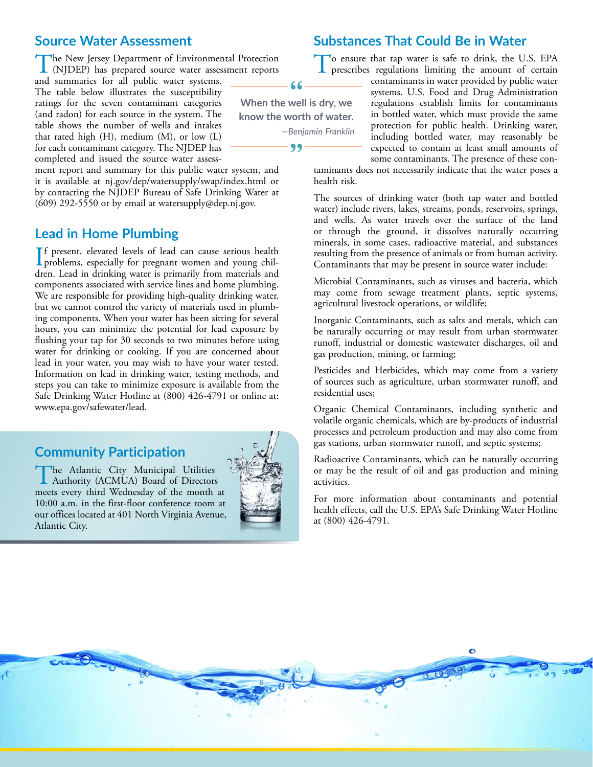#### **Source Water Assessment**

The New Jersey Department of Environmental Protection (NJDEP) has prepared source water assessment reports

and summaries for all public water systems. The table below illustrates the susceptibility ratings for the seven contaminant categories (and radon) for each source in the system. The table shows the number of wells and intakes that rated high (H), medium (M), or low (L) for each contaminant category. The NJDEP has completed and issued the source water assess-

ment report and summary for this public water system, and it is available at [nj.gov/dep/watersupply/swap/index.html](http://nj.gov/dep/watersupply/swap/index.html) or by contacting the NJDEP Bureau of Safe Drinking Water at (609) 292-5550 or by email at [watersupply@dep.nj.gov.](mailto:watersupply@dep.nj.gov)

#### **Lead in Home Plumbing**

If present, elevated levels of lead can cause serious health<br>problems, especially for pregnant women and young chil-<br>data and in distribution measurements for measurements problems, especially for pregnant women and young children. Lead in drinking water is primarily from materials and components associated with service lines and home plumbing. We are responsible for providing high-quality drinking water, but we cannot control the variety of materials used in plumbing components. When your water has been sitting for several hours, you can minimize the potential for lead exposure by flushing your tap for 30 seconds to two minutes before using water for drinking or cooking. If you are concerned about lead in your water, you may wish to have your water tested. Information on lead in drinking water, testing methods, and steps you can take to minimize exposure is available from the Safe Drinking Water Hotline at (800) 426-4791 or online at: [www.epa.gov/safewater/lead](http://www.epa.gov/safewater/lead).

#### **Community Participation**

The Atlantic City Municipal Utilities Authority (ACMUA) Board of Directors meets every third Wednesday of the month at 10:00 a.m. in the first-floor conference room at our offices located at 401 North Virginia Avenue, Atlantic City.



**Substances That Could Be in Water**

To ensure that tap water is safe to drink, the U.S. EPA prescribes regulations limiting the amount of certain

contaminants in water provided by public water systems. U.S. Food and Drug Administration regulations establish limits for contaminants in bottled water, which must provide the same protection for public health. Drinking water, including bottled water, may reasonably be expected to contain at least small amounts of some contaminants. The presence of these con-

taminants does not necessarily indicate that the water poses a health risk.

The sources of drinking water (both tap water and bottled water) include rivers, lakes, streams, ponds, reservoirs, springs, and wells. As water travels over the surface of the land or through the ground, it dissolves naturally occurring minerals, in some cases, radioactive material, and substances resulting from the presence of animals or from human activity. Contaminants that may be present in source water include:

Microbial Contaminants, such as viruses and bacteria, which may come from sewage treatment plants, septic systems, agricultural livestock operations, or wildlife;

Inorganic Contaminants, such as salts and metals, which can be naturally occurring or may result from urban stormwater runoff, industrial or domestic wastewater discharges, oil and gas production, mining, or farming;

Pesticides and Herbicides, which may come from a variety of sources such as agriculture, urban stormwater runoff, and residential uses;

Organic Chemical Contaminants, including synthetic and volatile organic chemicals, which are by-products of industrial processes and petroleum production and may also come from gas stations, urban stormwater runoff, and septic systems;

Radioactive Contaminants, which can be naturally occurring or may be the result of oil and gas production and mining activities.

For more information about contaminants and potential health effects, call the U.S. EPA's Safe Drinking Water Hotline at (800) 426-4791.



 $66 -$ 

**When the well is dry, we know the worth of water.**

99

*—Benjamin Franklin*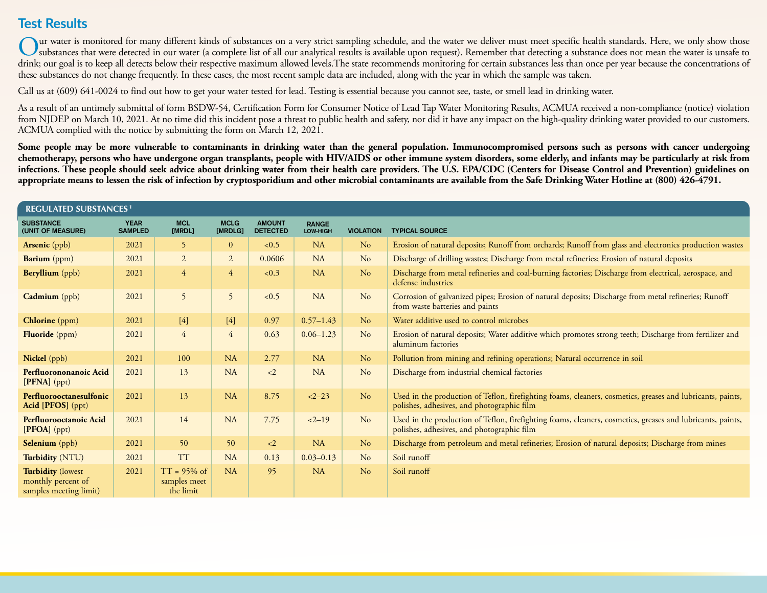### **Test Results**

Our water is monitored for many different kinds of substances on a very strict sampling schedule, and the water we deliver must meet specific health standards. Here, we only show those<br>substances that were detected in our drink; our goal is to keep all detects below their respective maximum allowed levels. The state recommends monitoring for certain substances less than once per year because the concentrations of these substances do not change frequently. In these cases, the most recent sample data are included, along with the year in which the sample was taken.

Call us at (609) 641-0024 to find out how to get your water tested for lead. Testing is essential because you cannot see, taste, or smell lead in drinking water.

As a result of an untimely submittal of form BSDW-54, Certification Form for Consumer Notice of Lead Tap Water Monitoring Results, ACMUA received a non-compliance (notice) violation from NJDEP on March 10, 2021. At no time did this incident pose a threat to public health and safety, nor did it have any impact on the high-quality drinking water provided to our customers. ACMUA complied with the notice by submitting the form on March 12, 2021.

Some people may be more vulnerable to contaminants in drinking water than the general population. Immunocompromised persons such as persons with cancer undergoing **chemotherapy, persons who have undergone organ transplants, people with HIV/AIDS or other immune system disorders, some elderly, and infants may be particularly at risk from infections. These people should seek advice about drinking water from their health care providers. The U.S. EPA/CDC (Centers for Disease Control and Prevention) guidelines on appropriate means to lessen the risk of infection by cryptosporidium and other microbial contaminants are available from the Safe Drinking Water Hotline at (800) 426-4791.**

| <b>REGULATED SUBSTANCES<sup>1</sup></b>                                  |                               |                                             |                        |                                  |                          |                  |                                                                                                                                                          |  |  |
|--------------------------------------------------------------------------|-------------------------------|---------------------------------------------|------------------------|----------------------------------|--------------------------|------------------|----------------------------------------------------------------------------------------------------------------------------------------------------------|--|--|
| <b>SUBSTANCE</b><br>(UNIT OF MEASURE)                                    | <b>YEAR</b><br><b>SAMPLED</b> | <b>MCL</b><br>[MRDL]                        | <b>MCLG</b><br>[MRDLG] | <b>AMOUNT</b><br><b>DETECTED</b> | <b>RANGE</b><br>LOW-HIGH | <b>VIOLATION</b> | <b>TYPICAL SOURCE</b>                                                                                                                                    |  |  |
| <b>Arsenic</b> (ppb)                                                     | 2021                          | 5                                           | $\mathbf{0}$           | < 0.5                            | <b>NA</b>                | N <sub>o</sub>   | Erosion of natural deposits; Runoff from orchards; Runoff from glass and electronics production wastes                                                   |  |  |
| Barium (ppm)                                                             | 2021                          | $\overline{2}$                              | $\overline{2}$         | 0.0606                           | NA                       | N <sub>o</sub>   | Discharge of drilling wastes; Discharge from metal refineries; Erosion of natural deposits                                                               |  |  |
| Beryllium (ppb)                                                          | 2021                          | $\overline{4}$                              | $\overline{4}$         | < 0.3                            | <b>NA</b>                | N <sub>o</sub>   | Discharge from metal refineries and coal-burning factories; Discharge from electrical, aerospace, and<br>defense industries                              |  |  |
| Cadmium (ppb)                                                            | 2021                          | 5                                           | 5                      | < 0.5                            | <b>NA</b>                | N <sub>o</sub>   | Corrosion of galvanized pipes; Erosion of natural deposits; Discharge from metal refineries; Runoff<br>from waste batteries and paints                   |  |  |
| <b>Chlorine</b> (ppm)                                                    | 2021                          | $[4]$                                       | $[4]$                  | 0.97                             | $0.57 - 1.43$            | No               | Water additive used to control microbes                                                                                                                  |  |  |
| Fluoride (ppm)                                                           | 2021                          | $\overline{4}$                              | $\overline{4}$         | 0.63                             | $0.06 - 1.23$            | N <sub>o</sub>   | Erosion of natural deposits; Water additive which promotes strong teeth; Discharge from fertilizer and<br>aluminum factories                             |  |  |
| Nickel (ppb)                                                             | 2021                          | 100                                         | <b>NA</b>              | 2.77                             | <b>NA</b>                | N <sub>o</sub>   | Pollution from mining and refining operations; Natural occurrence in soil                                                                                |  |  |
| Perfluorononanoic Acid<br>[PFNA] (ppt)                                   | 2021                          | 13                                          | NA                     | $\langle 2 \rangle$              | <b>NA</b>                | N <sub>o</sub>   | Discharge from industrial chemical factories                                                                                                             |  |  |
| Perfluorooctanesulfonic<br>Acid [PFOS] (ppt)                             | 2021                          | 13                                          | <b>NA</b>              | 8.75                             | $2 - 23$                 | N <sub>o</sub>   | Used in the production of Teflon, firefighting foams, cleaners, cosmetics, greases and lubricants, paints,<br>polishes, adhesives, and photographic film |  |  |
| Perfluorooctanoic Acid<br>[PFOA] (ppt)                                   | 2021                          | 14                                          | NA                     | 7.75                             | $2 - 19$                 | N <sub>o</sub>   | Used in the production of Teflon, firefighting foams, cleaners, cosmetics, greases and lubricants, paints,<br>polishes, adhesives, and photographic film |  |  |
| <b>Selenium</b> (ppb)                                                    | 2021                          | 50                                          | 50                     | $\langle 2 \rangle$              | <b>NA</b>                | N <sub>o</sub>   | Discharge from petroleum and metal refineries; Erosion of natural deposits; Discharge from mines                                                         |  |  |
| Turbidity (NTU)                                                          | 2021                          | <b>TT</b>                                   | NA                     | 0.13                             | $0.03 - 0.13$            | N <sub>o</sub>   | Soil runoff                                                                                                                                              |  |  |
| <b>Turbidity (lowest</b><br>monthly percent of<br>samples meeting limit) | 2021                          | $TT = 95\%$ of<br>samples meet<br>the limit | <b>NA</b>              | 95                               | <b>NA</b>                | N <sub>o</sub>   | Soil runoff                                                                                                                                              |  |  |